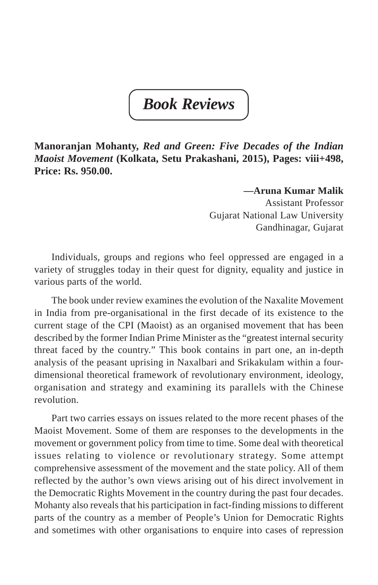*Book Reviews*

**Manoranjan Mohanty,** *Red and Green: Five Decades of the Indian Maoist Movement* **(Kolkata, Setu Prakashani, 2015), Pages: viii+498, Price: Rs. 950.00.**

## **—Aruna Kumar Malik**

Assistant Professor Gujarat National Law University Gandhinagar, Gujarat

Individuals, groups and regions who feel oppressed are engaged in a variety of struggles today in their quest for dignity, equality and justice in various parts of the world.

The book under review examines the evolution of the Naxalite Movement in India from pre-organisational in the first decade of its existence to the current stage of the CPI (Maoist) as an organised movement that has been described by the former Indian Prime Minister as the "greatest internal security threat faced by the country." This book contains in part one, an in-depth analysis of the peasant uprising in Naxalbari and Srikakulam within a fourdimensional theoretical framework of revolutionary environment, ideology, organisation and strategy and examining its parallels with the Chinese revolution.

Part two carries essays on issues related to the more recent phases of the Maoist Movement. Some of them are responses to the developments in the movement or government policy from time to time. Some deal with theoretical issues relating to violence or revolutionary strategy. Some attempt comprehensive assessment of the movement and the state policy. All of them reflected by the author's own views arising out of his direct involvement in the Democratic Rights Movement in the country during the past four decades. Mohanty also reveals that his participation in fact-finding missions to different parts of the country as a member of People's Union for Democratic Rights and sometimes with other organisations to enquire into cases of repression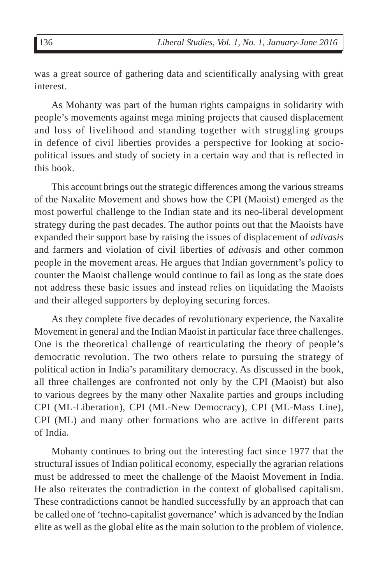was a great source of gathering data and scientifically analysing with great interest.

As Mohanty was part of the human rights campaigns in solidarity with people's movements against mega mining projects that caused displacement and loss of livelihood and standing together with struggling groups in defence of civil liberties provides a perspective for looking at sociopolitical issues and study of society in a certain way and that is reflected in this book.

This account brings out the strategic differences among the various streams of the Naxalite Movement and shows how the CPI (Maoist) emerged as the most powerful challenge to the Indian state and its neo-liberal development strategy during the past decades. The author points out that the Maoists have expanded their support base by raising the issues of displacement of *adivasis* and farmers and violation of civil liberties of *adivasis* and other common people in the movement areas. He argues that Indian government's policy to counter the Maoist challenge would continue to fail as long as the state does not address these basic issues and instead relies on liquidating the Maoists and their alleged supporters by deploying securing forces.

As they complete five decades of revolutionary experience, the Naxalite Movement in general and the Indian Maoist in particular face three challenges. One is the theoretical challenge of rearticulating the theory of people's democratic revolution. The two others relate to pursuing the strategy of political action in India's paramilitary democracy. As discussed in the book, all three challenges are confronted not only by the CPI (Maoist) but also to various degrees by the many other Naxalite parties and groups including CPI (ML-Liberation), CPI (ML-New Democracy), CPI (ML-Mass Line), CPI (ML) and many other formations who are active in different parts of India.

Mohanty continues to bring out the interesting fact since 1977 that the structural issues of Indian political economy, especially the agrarian relations must be addressed to meet the challenge of the Maoist Movement in India. He also reiterates the contradiction in the context of globalised capitalism. These contradictions cannot be handled successfully by an approach that can be called one of 'techno-capitalist governance' which is advanced by the Indian elite as well as the global elite as the main solution to the problem of violence.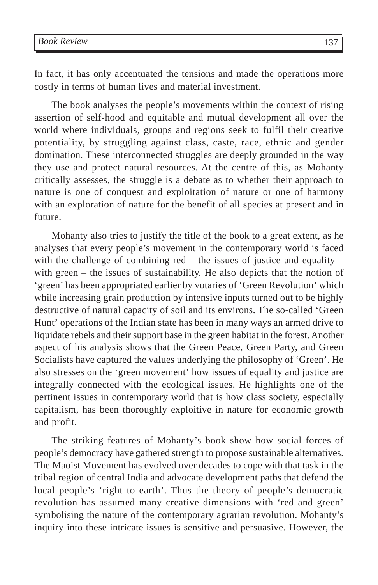In fact, it has only accentuated the tensions and made the operations more costly in terms of human lives and material investment.

The book analyses the people's movements within the context of rising assertion of self-hood and equitable and mutual development all over the world where individuals, groups and regions seek to fulfil their creative potentiality, by struggling against class, caste, race, ethnic and gender domination. These interconnected struggles are deeply grounded in the way they use and protect natural resources. At the centre of this, as Mohanty critically assesses, the struggle is a debate as to whether their approach to nature is one of conquest and exploitation of nature or one of harmony with an exploration of nature for the benefit of all species at present and in future.

Mohanty also tries to justify the title of the book to a great extent, as he analyses that every people's movement in the contemporary world is faced with the challenge of combining red  $-$  the issues of justice and equality  $$ with green – the issues of sustainability. He also depicts that the notion of 'green' has been appropriated earlier by votaries of 'Green Revolution' which while increasing grain production by intensive inputs turned out to be highly destructive of natural capacity of soil and its environs. The so-called 'Green Hunt' operations of the Indian state has been in many ways an armed drive to liquidate rebels and their support base in the green habitat in the forest. Another aspect of his analysis shows that the Green Peace, Green Party, and Green Socialists have captured the values underlying the philosophy of 'Green'. He also stresses on the 'green movement' how issues of equality and justice are integrally connected with the ecological issues. He highlights one of the pertinent issues in contemporary world that is how class society, especially capitalism, has been thoroughly exploitive in nature for economic growth and profit.

The striking features of Mohanty's book show how social forces of people's democracy have gathered strength to propose sustainable alternatives. The Maoist Movement has evolved over decades to cope with that task in the tribal region of central India and advocate development paths that defend the local people's 'right to earth'. Thus the theory of people's democratic revolution has assumed many creative dimensions with 'red and green' symbolising the nature of the contemporary agrarian revolution. Mohanty's inquiry into these intricate issues is sensitive and persuasive. However, the